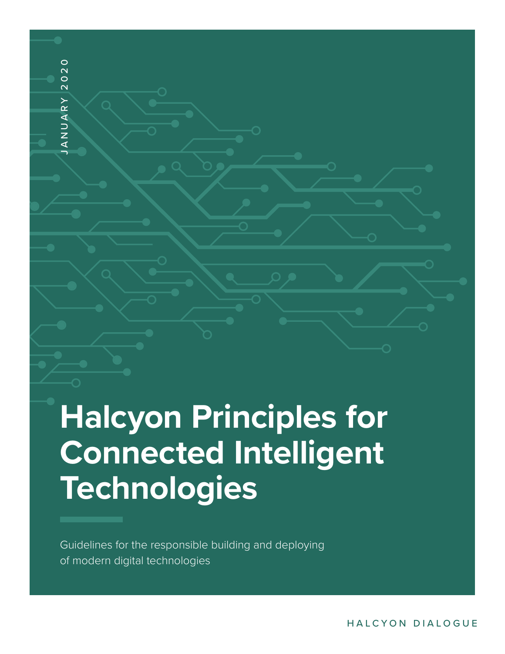# **Halcyon Principles for Connected Intelligent Technologies** JANUARY 2020

Guidelines for the responsible building and deploying of modern digital technologies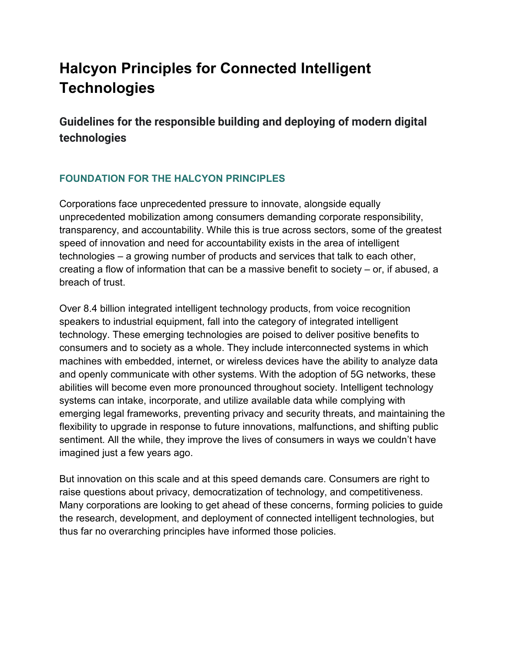# **Halcyon Principles for Connected Intelligent Technologies**

**Guidelines for the responsible building and deploying of modern digital technologies**

# **FOUNDATION FOR THE HALCYON PRINCIPLES**

Corporations face unprecedented pressure to innovate, alongside equally unprecedented mobilization among consumers demanding corporate responsibility, transparency, and accountability. While this is true across sectors, some of the greatest speed of innovation and need for accountability exists in the area of intelligent technologies – a growing number of products and services that talk to each other, creating a flow of information that can be a massive benefit to society – or, if abused, a breach of trust.

Over 8.4 billion integrated intelligent technology products, from voice recognition speakers to industrial equipment, fall into the category of integrated intelligent technology. These emerging technologies are poised to deliver positive benefits to consumers and to society as a whole. They include interconnected systems in which machines with embedded, internet, or wireless devices have the ability to analyze data and openly communicate with other systems. With the adoption of 5G networks, these abilities will become even more pronounced throughout society. Intelligent technology systems can intake, incorporate, and utilize available data while complying with emerging legal frameworks, preventing privacy and security threats, and maintaining the flexibility to upgrade in response to future innovations, malfunctions, and shifting public sentiment. All the while, they improve the lives of consumers in ways we couldn't have imagined just a few years ago.

But innovation on this scale and at this speed demands care. Consumers are right to raise questions about privacy, democratization of technology, and competitiveness. Many corporations are looking to get ahead of these concerns, forming policies to guide the research, development, and deployment of connected intelligent technologies, but thus far no overarching principles have informed those policies.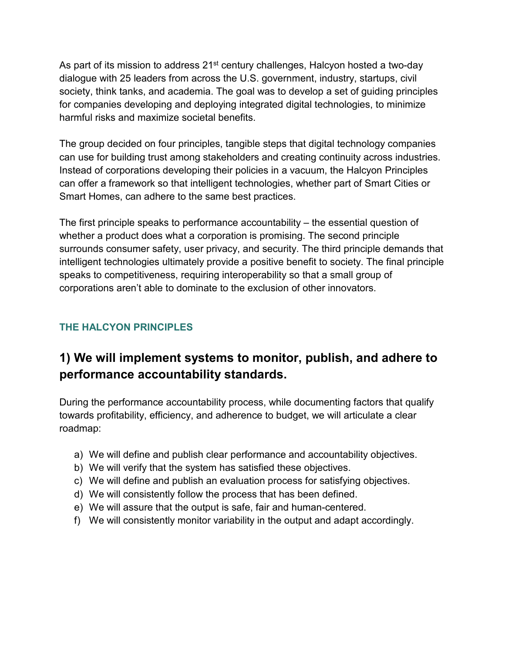As part of its mission to address 21<sup>st</sup> century challenges, Halcyon hosted a two-day dialogue with 25 leaders from across the U.S. government, industry, startups, civil society, think tanks, and academia. The goal was to develop a set of guiding principles for companies developing and deploying integrated digital technologies, to minimize harmful risks and maximize societal benefits.

The group decided on four principles, tangible steps that digital technology companies can use for building trust among stakeholders and creating continuity across industries. Instead of corporations developing their policies in a vacuum, the Halcyon Principles can offer a framework so that intelligent technologies, whether part of Smart Cities or Smart Homes, can adhere to the same best practices.

The first principle speaks to performance accountability – the essential question of whether a product does what a corporation is promising. The second principle surrounds consumer safety, user privacy, and security. The third principle demands that intelligent technologies ultimately provide a positive benefit to society. The final principle speaks to competitiveness, requiring interoperability so that a small group of corporations aren't able to dominate to the exclusion of other innovators.

# **THE HALCYON PRINCIPLES**

# **1) We will implement systems to monitor, publish, and adhere to performance accountability standards.**

During the performance accountability process, while documenting factors that qualify towards profitability, efficiency, and adherence to budget, we will articulate a clear roadmap:

- a) We will define and publish clear performance and accountability objectives.
- b) We will verify that the system has satisfied these objectives.
- c) We will define and publish an evaluation process for satisfying objectives.
- d) We will consistently follow the process that has been defined.
- e) We will assure that the output is safe, fair and human-centered.
- f) We will consistently monitor variability in the output and adapt accordingly.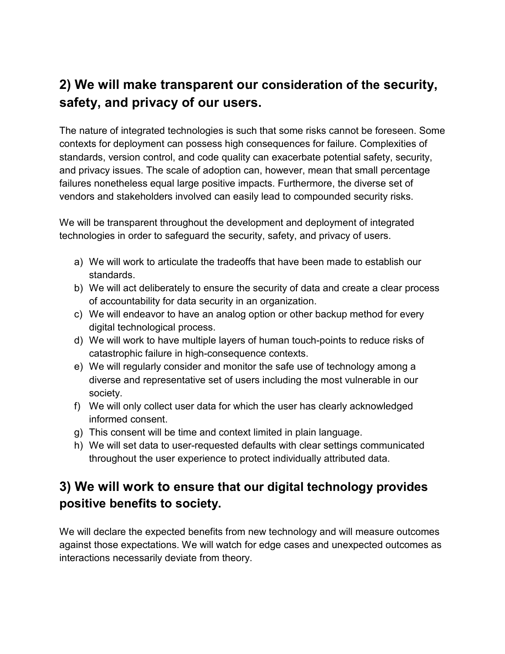# **2) We will make transparent our consideration of the security, safety, and privacy of our users.**

The nature of integrated technologies is such that some risks cannot be foreseen. Some contexts for deployment can possess high consequences for failure. Complexities of standards, version control, and code quality can exacerbate potential safety, security, and privacy issues. The scale of adoption can, however, mean that small percentage failures nonetheless equal large positive impacts. Furthermore, the diverse set of vendors and stakeholders involved can easily lead to compounded security risks.

We will be transparent throughout the development and deployment of integrated technologies in order to safeguard the security, safety, and privacy of users.

- a) We will work to articulate the tradeoffs that have been made to establish our standards.
- b) We will act deliberately to ensure the security of data and create a clear process of accountability for data security in an organization.
- c) We will endeavor to have an analog option or other backup method for every digital technological process.
- d) We will work to have multiple layers of human touch-points to reduce risks of catastrophic failure in high-consequence contexts.
- e) We will regularly consider and monitor the safe use of technology among a diverse and representative set of users including the most vulnerable in our society.
- f) We will only collect user data for which the user has clearly acknowledged informed consent.
- g) This consent will be time and context limited in plain language.
- h) We will set data to user-requested defaults with clear settings communicated throughout the user experience to protect individually attributed data.

# **3) We will work to ensure that our digital technology provides positive benefits to society.**

We will declare the expected benefits from new technology and will measure outcomes against those expectations. We will watch for edge cases and unexpected outcomes as interactions necessarily deviate from theory.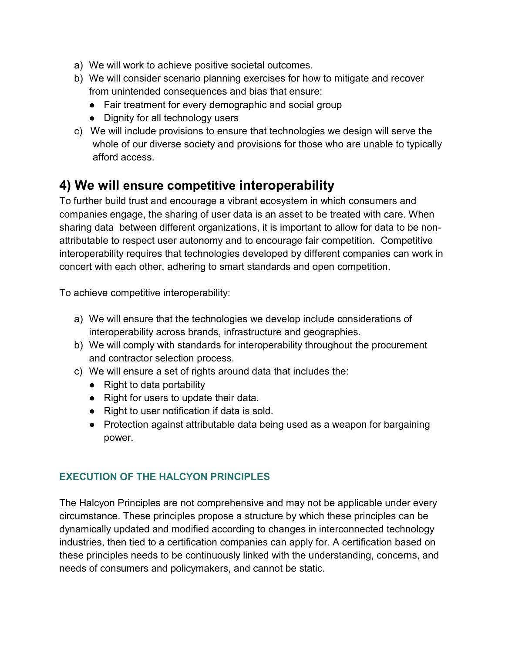- a) We will work to achieve positive societal outcomes.
- b) We will consider scenario planning exercises for how to mitigate and recover from unintended consequences and bias that ensure:
	- Fair treatment for every demographic and social group
	- Dignity for all technology users
- c) We will include provisions to ensure that technologies we design will serve the whole of our diverse society and provisions for those who are unable to typically afford access.

# **4) We will ensure competitive interoperability**

To further build trust and encourage a vibrant ecosystem in which consumers and companies engage, the sharing of user data is an asset to be treated with care. When sharing data between different organizations, it is important to allow for data to be nonattributable to respect user autonomy and to encourage fair competition. Competitive interoperability requires that technologies developed by different companies can work in concert with each other, adhering to smart standards and open competition.

To achieve competitive interoperability:

- a) We will ensure that the technologies we develop include considerations of interoperability across brands, infrastructure and geographies.
- b) We will comply with standards for interoperability throughout the procurement and contractor selection process.
- c) We will ensure a set of rights around data that includes the:
	- Right to data portability
	- Right for users to update their data.
	- Right to user notification if data is sold.
	- Protection against attributable data being used as a weapon for bargaining power.

# **EXECUTION OF THE HALCYON PRINCIPLES**

The Halcyon Principles are not comprehensive and may not be applicable under every circumstance. These principles propose a structure by which these principles can be dynamically updated and modified according to changes in interconnected technology industries, then tied to a certification companies can apply for. A certification based on these principles needs to be continuously linked with the understanding, concerns, and needs of consumers and policymakers, and cannot be static.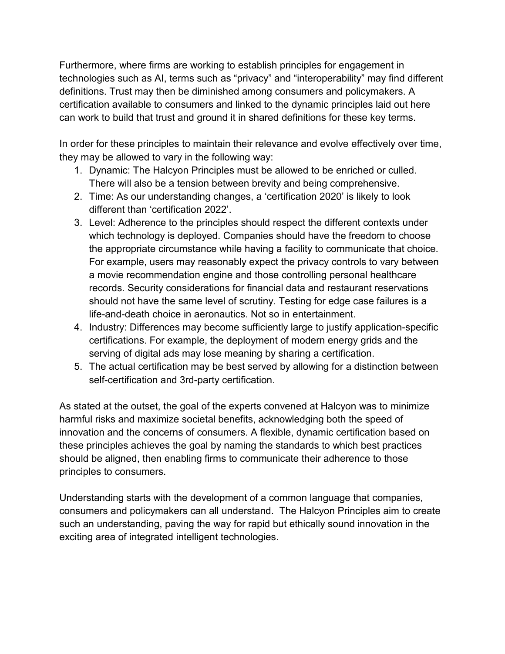Furthermore, where firms are working to establish principles for engagement in technologies such as AI, terms such as "privacy" and "interoperability" may find different definitions. Trust may then be diminished among consumers and policymakers. A certification available to consumers and linked to the dynamic principles laid out here can work to build that trust and ground it in shared definitions for these key terms.

In order for these principles to maintain their relevance and evolve effectively over time, they may be allowed to vary in the following way:

- 1. Dynamic: The Halcyon Principles must be allowed to be enriched or culled. There will also be a tension between brevity and being comprehensive.
- 2. Time: As our understanding changes, a 'certification 2020' is likely to look different than 'certification 2022'.
- 3. Level: Adherence to the principles should respect the different contexts under which technology is deployed. Companies should have the freedom to choose the appropriate circumstance while having a facility to communicate that choice. For example, users may reasonably expect the privacy controls to vary between a movie recommendation engine and those controlling personal healthcare records. Security considerations for financial data and restaurant reservations should not have the same level of scrutiny. Testing for edge case failures is a life-and-death choice in aeronautics. Not so in entertainment.
- 4. Industry: Differences may become sufficiently large to justify application-specific certifications. For example, the deployment of modern energy grids and the serving of digital ads may lose meaning by sharing a certification.
- 5. The actual certification may be best served by allowing for a distinction between self-certification and 3rd-party certification.

As stated at the outset, the goal of the experts convened at Halcyon was to minimize harmful risks and maximize societal benefits, acknowledging both the speed of innovation and the concerns of consumers. A flexible, dynamic certification based on these principles achieves the goal by naming the standards to which best practices should be aligned, then enabling firms to communicate their adherence to those principles to consumers.

Understanding starts with the development of a common language that companies, consumers and policymakers can all understand. The Halcyon Principles aim to create such an understanding, paving the way for rapid but ethically sound innovation in the exciting area of integrated intelligent technologies.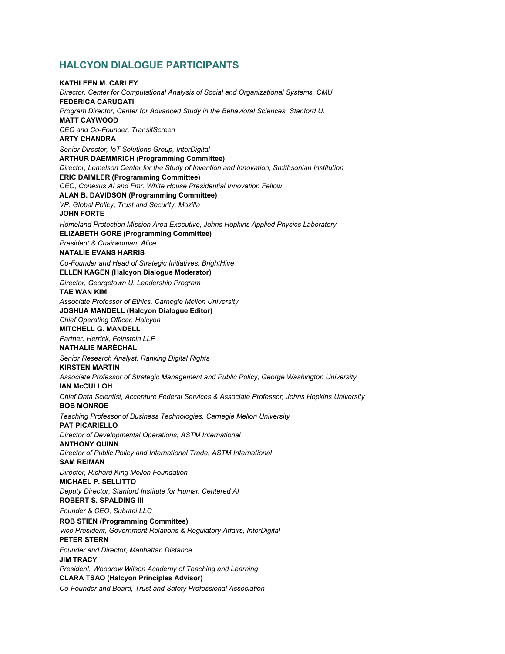### **HALCYON DIALOGUE PARTICIPANTS**

### **KATHLEEN M. CARLEY** *Director, Center for Computational Analysis of Social and Organizational Systems, CMU* **FEDERICA CARUGATI** *Program Director, Center for Advanced Study in the Behavioral Sciences, Stanford U.* **MATT CAYWOOD** *CEO and Co-Founder, TransitScreen* **ARTY CHANDRA** *Senior Director, IoT Solutions Group, InterDigital* **ARTHUR DAEMMRICH (Programming Committee)**  *Director, Lemelson Center for the Study of Invention and Innovation, Smithsonian Institution* **ERIC DAIMLER (Programming Committee)** *CEO*, *Conexus AI and Fmr. White House Presidential Innovation Fellow* **ALAN B. DAVIDSON (Programming Committee)**  *VP*, *Global Policy, Trust and Security, Mozilla* **JOHN FORTE** *Homeland Protection Mission Area Executive, Johns Hopkins Applied Physics Laboratory* **ELIZABETH GORE (Programming Committee)** *President & Chairwoman, Alice* **NATALIE EVANS HARRIS** *Co-Founder and Head of Strategic Initiatives, BrightHive* **ELLEN KAGEN (Halcyon Dialogue Moderator)** *Director, Georgetown U. Leadership Program* **TAE WAN KIM** *Associate Professor of Ethics, Carnegie Mellon University* **JOSHUA MANDELL (Halcyon Dialogue Editor)** *Chief Operating Officer, Halcyon* **MITCHELL G. MANDELL**  *Partner, Herrick, Feinstein LLP* **NATHALIE MARÉCHAL** *Senior Research Analyst, Ranking Digital Rights* **KIRSTEN MARTIN** *Associate Professor of Strategic Management and Public Policy, George Washington University* **IAN McCULLOH**  *Chief Data Scientist, Accenture Federal Services & Associate Professor, Johns Hopkins University* **BOB MONROE** *Teaching Professor of Business Technologies, Carnegie Mellon University* **PAT PICARIELLO** *Director of Developmental Operations, ASTM International* **ANTHONY QUINN** *Director of Public Policy and International Trade, ASTM International* **SAM REIMAN** *Director, Richard King Mellon Foundation* **MICHAEL P. SELLITTO** *Deputy Director, Stanford Institute for Human Centered AI* **ROBERT S. SPALDING III**  *Founder & CEO, Subutai LLC* **ROB STIEN (Programming Committee)** *Vice President, Government Relations & Regulatory Affairs, InterDigital* **PETER STERN** *Founder and Director, Manhattan Distance* **JIM TRACY** *President, Woodrow Wilson Academy of Teaching and Learning* **CLARA TSAO (Halcyon Principles Advisor)** *Co-Founder and Board, Trust and Safety Professional Association*